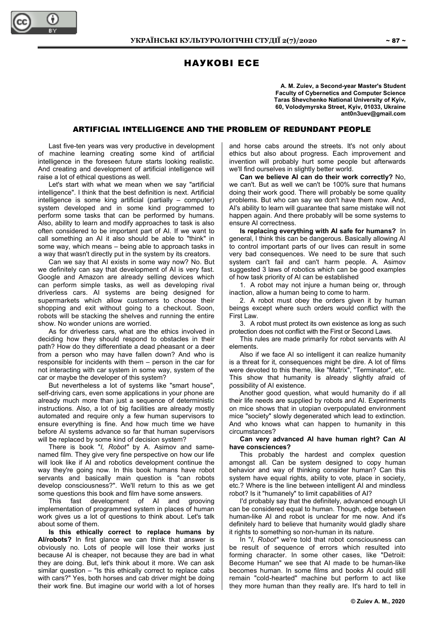# НАУКОВІ ЕСЕ

**A. M. Zuiev, a Second-year Master's Student Faculty of Cybernetics and Computer Science Taras Shevchenko National University of Kyiv, 60, Volodymyrska Street, Kyiv, 01033, Ukraine ant0n3uev@gmail.com** 

## ARTIFICIAL INTELLIGENCE AND THE PROBLEM OF REDUNDANT PEOPLE

Last five-ten years was very productive in development of machine learning creating some kind of artificial intelligence in the foreseen future starts looking realistic. And creating and development of artificial intelligence will raise a lot of ethical questions as well.

Let's start with what we mean when we say "artificial intelligence". I think that the best definition is next. Artificial intelligence is some king artificial (partially – computer) system developed and in some kind programmed to perform some tasks that can be performed by humans. Also, ability to learn and modify approaches to task is also often considered to be important part of AI. If we want to call something an AI it also should be able to "think" in some way, which means – being able to approach tasks in a way that wasn't directly put in the system by its creators.

Can we say that AI exists in some way now? No. But we definitely can say that development of AI is very fast. Google and Amazon are already selling devices which can perform simple tasks, as well as developing rival driverless cars. AI systems are being designed for supermarkets which allow customers to choose their shopping and exit without going to a checkout. Soon, robots will be stacking the shelves and running the entire show. No wonder unions are worried.

As for driverless cars, what are the ethics involved in deciding how they should respond to obstacles in their path? How do they differentiate a dead pheasant or a deer from a person who may have fallen down? And who is responsible for incidents with them – person in the car for not interacting with car system in some way, system of the car or maybe the developer of this system?

But nevertheless a lot of systems like "smart house", self-driving cars, even some applications in your phone are already much more than just a sequence of deterministic instructions. Also, a lot of big facilities are already mostly automated and require only a few human supervisors to ensure everything is fine. And how much time we have before AI systems advance so far that human supervisors will be replaced by some kind of decision system?

There is book "*I, Robot"* by A. Asimov and samenamed film. They give very fine perspective on how our life will look like if AI and robotics development continue the way they're going now. In this book humans have robot servants and basically main question is "can robots develop consciousness?". We'll return to this as we get some questions this book and film have some answers.

This fast development of AI and grooving implementation of programmed system in places of human work gives us a lot of questions to think about. Let's talk about some of them.

**Is this ethically correct to replace humans by AI/robots?** In first glance we can think that answer is obviously no. Lots of people will lose their works just because AI is cheaper, not because they are bad in what they are doing. But, let's think about it more. We can ask similar question – "Is this ethically correct to replace cabs with cars?" Yes, both horses and cab driver might be doing their work fine. But imagine our world with a lot of horses

and horse cabs around the streets. It's not only about ethics but also about progress. Each improvement and invention will probably hurt some people but afterwards we'll find ourselves in slightly better world.

**Can we believe AI can do their work correctly?** No, we can't. But as well we can't be 100% sure that humans doing their work good. There will probably be some quality problems. But who can say we don't have them now. And, AI's ability to learn will guarantee that same mistake will not happen again. And there probably will be some systems to ensure AI correctness.

**Is replacing everything with AI safe for humans?** In general, I think this can be dangerous. Basically allowing AI to control important parts of our lives can result in some very bad consequences. We need to be sure that such system can't fail and can't harm people. A. Asimov suggested 3 laws of robotics which can be good examples of how task priority of AI can be established

1. A robot may not injure a human being or, through inaction, allow a human being to come to harm.

2. A robot must obey the orders given it by human beings except where such orders would conflict with the First Law.

3. A robot must protect its own existence as long as such protection does not conflict with the First or Second Laws.

This rules are made primarily for robot servants with AI elements.

Also if we face AI so intelligent it can realize humanity is a threat for it, consequences might be dire. A lot of films were devoted to this theme, like "Matrix", "Terminator", etc. This show that humanity is already slightly afraid of possibility of AI existence.

Another good question, what would humanity do if all their life needs are supplied by robots and AI. Experiments on mice shows that in utopian overpopulated environment mice "society" slowly degenerated which lead to extinction. And who knows what can happen to humanity in this circumstances?

**Can very advanced AI have human right? Can AI have consciences?** 

This probably the hardest and complex question amongst all. Can be system designed to copy human behavior and way of thinking consider human? Can this system have equal rights, ability to vote, place in society, etc.? Where is the line between intelligent AI and mindless robot? Is it "humanely" to limit capabilities of AI?

I'd probably say that the definitely, advanced enough UI can be considered equal to human. Though, edge between human-like AI and robot is unclear for me now. And it's definitely hard to believe that humanity would gladly share it rights to something so non-human in its nature.

In "*I, Robot"* we're told that robot consciousness can be result of sequence of errors which resulted into forming character. In some other cases, like "Detroit: Become Human" we see that AI made to be human-like becomes human. In some films and books AI could still remain "cold-hearted" machine but perform to act like they more human than they really are. It's hard to tell in